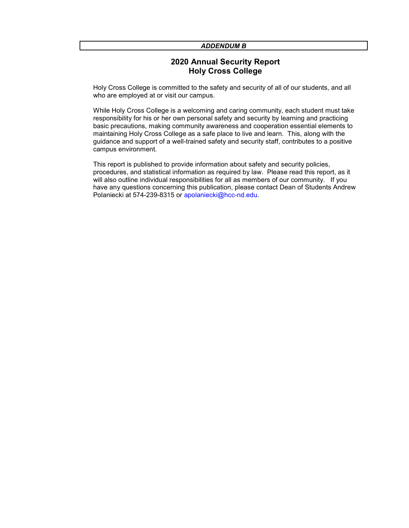#### ADDENDUM B

### 2020 Annual Security Report Holy Cross College

Holy Cross College is committed to the safety and security of all of our students, and all who are employed at or visit our campus.

While Holy Cross College is a welcoming and caring community, each student must take responsibility for his or her own personal safety and security by learning and practicing basic precautions, making community awareness and cooperation essential elements to maintaining Holy Cross College as a safe place to live and learn. This, along with the guidance and support of a well-trained safety and security staff, contributes to a positive campus environment.

This report is published to provide information about safety and security policies, procedures, and statistical information as required by law. Please read this report, as it will also outline individual responsibilities for all as members of our community. If you have any questions concerning this publication, please contact Dean of Students Andrew Polaniecki at 574-239-8315 or apolaniecki@hcc-nd.edu.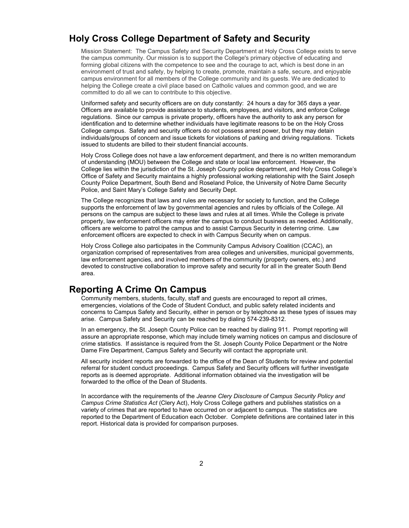# Holy Cross College Department of Safety and Security

Mission Statement: The Campus Safety and Security Department at Holy Cross College exists to serve the campus community. Our mission is to support the College's primary objective of educating and forming global citizens with the competence to see and the courage to act, which is best done in an environment of trust and safety, by helping to create, promote, maintain a safe, secure, and enjoyable campus environment for all members of the College community and its guests. We are dedicated to helping the College create a civil place based on Catholic values and common good, and we are committed to do all we can to contribute to this objective.

Uniformed safety and security officers are on duty constantly: 24 hours a day for 365 days a year. Officers are available to provide assistance to students, employees, and visitors, and enforce College regulations. Since our campus is private property, officers have the authority to ask any person for identification and to determine whether individuals have legitimate reasons to be on the Holy Cross College campus. Safety and security officers do not possess arrest power, but they may detain individuals/groups of concern and issue tickets for violations of parking and driving regulations. Tickets issued to students are billed to their student financial accounts.

Holy Cross College does not have a law enforcement department, and there is no written memorandum of understanding (MOU) between the College and state or local law enforcement. However, the College lies within the jurisdiction of the St. Joseph County police department, and Holy Cross College's Office of Safety and Security maintains a highly professional working relationship with the Saint Joseph County Police Department, South Bend and Roseland Police, the University of Notre Dame Security Police, and Saint Mary's College Safety and Security Dept.

The College recognizes that laws and rules are necessary for society to function, and the College supports the enforcement of law by governmental agencies and rules by officials of the College. All persons on the campus are subject to these laws and rules at all times. While the College is private property, law enforcement officers may enter the campus to conduct business as needed. Additionally, officers are welcome to patrol the campus and to assist Campus Security in deterring crime. Law enforcement officers are expected to check in with Campus Security when on campus.

Holy Cross College also participates in the Community Campus Advisory Coalition (CCAC), an organization comprised of representatives from area colleges and universities, municipal governments, law enforcement agencies, and involved members of the community (property owners, etc.) and devoted to constructive collaboration to improve safety and security for all in the greater South Bend area.

### Reporting A Crime On Campus

Community members, students, faculty, staff and guests are encouraged to report all crimes, emergencies, violations of the Code of Student Conduct, and public safety related incidents and concerns to Campus Safety and Security, either in person or by telephone as these types of issues may arise. Campus Safety and Security can be reached by dialing 574-239-8312.

In an emergency, the St. Joseph County Police can be reached by dialing 911. Prompt reporting will assure an appropriate response, which may include timely warning notices on campus and disclosure of crime statistics. If assistance is required from the St. Joseph County Police Department or the Notre Dame Fire Department, Campus Safety and Security will contact the appropriate unit.

All security incident reports are forwarded to the office of the Dean of Students for review and potential referral for student conduct proceedings. Campus Safety and Security officers will further investigate reports as is deemed appropriate. Additional information obtained via the investigation will be forwarded to the office of the Dean of Students.

In accordance with the requirements of the Jeanne Clery Disclosure of Campus Security Policy and Campus Crime Statistics Act (Clery Act), Holy Cross College gathers and publishes statistics on a variety of crimes that are reported to have occurred on or adjacent to campus. The statistics are reported to the Department of Education each October. Complete definitions are contained later in this report. Historical data is provided for comparison purposes.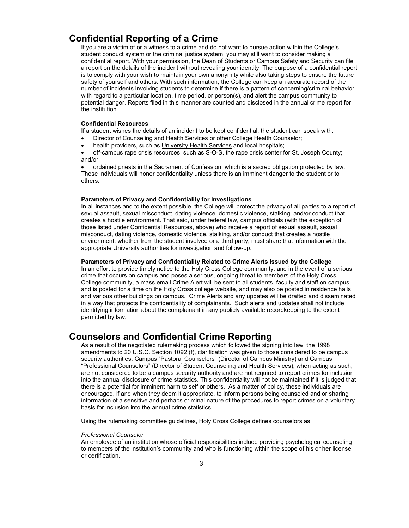# Confidential Reporting of a Crime

If you are a victim of or a witness to a crime and do not want to pursue action within the College's student conduct system or the criminal justice system, you may still want to consider making a confidential report. With your permission, the Dean of Students or Campus Safety and Security can file a report on the details of the incident without revealing your identity. The purpose of a confidential report is to comply with your wish to maintain your own anonymity while also taking steps to ensure the future safety of yourself and others. With such information, the College can keep an accurate record of the number of incidents involving students to determine if there is a pattern of concerning/criminal behavior with regard to a particular location, time period, or person(s), and alert the campus community to potential danger. Reports filed in this manner are counted and disclosed in the annual crime report for the institution.

#### Confidential Resources

If a student wishes the details of an incident to be kept confidential, the student can speak with:

- Director of Counseling and Health Services or other College Health Counselor;
- health providers, such as University Health Services and local hospitals;

 off-campus rape crisis resources, such as S-O-S, the rape crisis center for St. Joseph County; and/or

 ordained priests in the Sacrament of Confession, which is a sacred obligation protected by law. These individuals will honor confidentiality unless there is an imminent danger to the student or to others.

#### Parameters of Privacy and Confidentiality for Investigations

In all instances and to the extent possible, the College will protect the privacy of all parties to a report of sexual assault, sexual misconduct, dating violence, domestic violence, stalking, and/or conduct that creates a hostile environment. That said, under federal law, campus officials (with the exception of those listed under Confidential Resources, above) who receive a report of sexual assault, sexual misconduct, dating violence, domestic violence, stalking, and/or conduct that creates a hostile environment, whether from the student involved or a third party, must share that information with the appropriate University authorities for investigation and follow-up.

#### Parameters of Privacy and Confidentiality Related to Crime Alerts Issued by the College

In an effort to provide timely notice to the Holy Cross College community, and in the event of a serious crime that occurs on campus and poses a serious, ongoing threat to members of the Holy Cross College community, a mass email Crime Alert will be sent to all students, faculty and staff on campus and is posted for a time on the Holy Cross college website, and may also be posted in residence halls and various other buildings on campus. Crime Alerts and any updates will be drafted and disseminated in a way that protects the confidentiality of complainants. Such alerts and updates shall not include identifying information about the complainant in any publicly available recordkeeping to the extent permitted by law.

### Counselors and Confidential Crime Reporting

As a result of the negotiated rulemaking process which followed the signing into law, the 1998 amendments to 20 U.S.C. Section 1092 (f), clarification was given to those considered to be campus security authorities. Campus "Pastoral Counselors" (Director of Campus Ministry) and Campus "Professional Counselors" (Director of Student Counseling and Health Services), when acting as such, are not considered to be a campus security authority and are not required to report crimes for inclusion into the annual disclosure of crime statistics. This confidentiality will not be maintained if it is judged that there is a potential for imminent harm to self or others. As a matter of policy, these individuals are encouraged, if and when they deem it appropriate, to inform persons being counseled and or sharing information of a sensitive and perhaps criminal nature of the procedures to report crimes on a voluntary basis for inclusion into the annual crime statistics.

Using the rulemaking committee guidelines, Holy Cross College defines counselors as:

#### Professional Counselor

An employee of an institution whose official responsibilities include providing psychological counseling to members of the institution's community and who is functioning within the scope of his or her license or certification.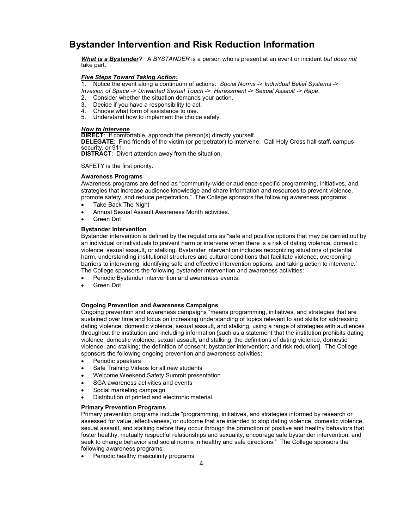# Bystander Intervention and Risk Reduction Information

What is a Bystander? A BYSTANDER is a person who is present at an event or incident but does not take part.

#### Five Steps Toward Taking Action:

1. Notice the event along a continuum of actions: Social Norms -> Individual Belief Systems -> Invasion of Space -> Unwanted Sexual Touch -> Harassment -> Sexual Assault -> Rape.

- 2. Consider whether the situation demands your action.
- 3. Decide if you have a responsibility to act.
- 4. Choose what form of assistance to use.<br>5. Understand how to implement the choic
- Understand how to implement the choice safely.

#### How to Intervene

**DIRECT:** If comfortable, approach the person(s) directly yourself.

DELEGATE: Find friends of the victim (or perpetrator) to intervene. Call Holy Cross hall staff, campus security, or 911.

DISTRACT: Divert attention away from the situation.

SAFETY is the first priority.

#### Awareness Programs

Awareness programs are defined as "community-wide or audience-specific programming, initiatives, and strategies that increase audience knowledge and share information and resources to prevent violence, promote safety, and reduce perpetration." The College sponsors the following awareness programs:

- Take Back The Night
- Annual Sexual Assault Awareness Month activities.
- Green Dot

#### Bystander Intervention

Bystander intervention is defined by the regulations as "safe and positive options that may be carried out by an individual or individuals to prevent harm or intervene when there is a risk of dating violence, domestic violence, sexual assault, or stalking. Bystander intervention includes recognizing situations of potential harm, understanding institutional structures and cultural conditions that facilitate violence, overcoming barriers to intervening, identifying safe and effective intervention options, and taking action to intervene." The College sponsors the following bystander intervention and awareness activities:

- Periodic Bystander intervention and awareness events.
- Green Dot

#### Ongoing Prevention and Awareness Campaigns

Ongoing prevention and awareness campaigns "means programming, initiatives, and strategies that are sustained over time and focus on increasing understanding of topics relevant to and skills for addressing dating violence, domestic violence, sexual assault, and stalking, using a range of strategies with audiences throughout the institution and including information [such as a statement that the institution prohibits dating violence, domestic violence, sexual assault, and stalking; the definitions of dating violence, domestic violence, and stalking; the definition of consent; bystander intervention; and risk reduction]. The College sponsors the following ongoing prevention and awareness activities:

- Periodic speakers
- Safe Training Videos for all new students
- Welcome Weekend Safety Summit presentation
- SGA awareness activities and events
- Social marketing campaign
- Distribution of printed and electronic material.

#### Primary Prevention Programs

Primary prevention programs include "programming, initiatives, and strategies informed by research or assessed for value, effectiveness, or outcome that are intended to stop dating violence, domestic violence, sexual assault, and stalking before they occur through the promotion of positive and healthy behaviors that foster healthy, mutually respectful relationships and sexuality, encourage safe bystander intervention, and seek to change behavior and social norms in healthy and safe directions." The College sponsors the following awareness programs:

Periodic healthy masculinity programs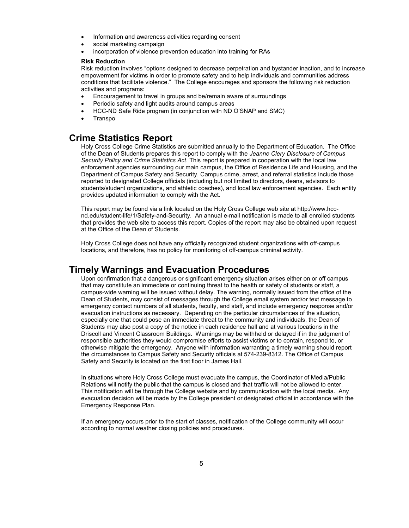- Information and awareness activities regarding consent
- social marketing campaign
- incorporation of violence prevention education into training for RAs

#### Risk Reduction

Risk reduction involves "options designed to decrease perpetration and bystander inaction, and to increase empowerment for victims in order to promote safety and to help individuals and communities address conditions that facilitate violence." The College encourages and sponsors the following risk reduction activities and programs:

- Encouragement to travel in groups and be/remain aware of surroundings
- Periodic safety and light audits around campus areas
- HCC-ND Safe Ride program (in conjunction with ND O'SNAP and SMC)
- Transpo

### Crime Statistics Report

Holy Cross College Crime Statistics are submitted annually to the Department of Education. The Office of the Dean of Students prepares this report to comply with the Jeanne Clery Disclosure of Campus Security Policy and Crime Statistics Act. This report is prepared in cooperation with the local law enforcement agencies surrounding our main campus, the Office of Residence Life and Housing, and the Department of Campus Safety and Security. Campus crime, arrest, and referral statistics include those reported to designated College officials (including but not limited to directors, deans, advisors to students/student organizations, and athletic coaches), and local law enforcement agencies. Each entity provides updated information to comply with the Act.

This report may be found via a link located on the Holy Cross College web site at http://www.hccnd.edu/student-life/1/Safety-and-Security. An annual e-mail notification is made to all enrolled students that provides the web site to access this report. Copies of the report may also be obtained upon request at the Office of the Dean of Students.

Holy Cross College does not have any officially recognized student organizations with off-campus locations, and therefore, has no policy for monitoring of off-campus criminal activity.

### Timely Warnings and Evacuation Procedures

Upon confirmation that a dangerous or significant emergency situation arises either on or off campus that may constitute an immediate or continuing threat to the health or safety of students or staff, a campus-wide warning will be issued without delay. The warning, normally issued from the office of the Dean of Students, may consist of messages through the College email system and/or text message to emergency contact numbers of all students, faculty, and staff, and include emergency response and/or evacuation instructions as necessary. Depending on the particular circumstances of the situation, especially one that could pose an immediate threat to the community and individuals, the Dean of Students may also post a copy of the notice in each residence hall and at various locations in the Driscoll and Vincent Classroom Buildings. Warnings may be withheld or delayed if in the judgment of responsible authorities they would compromise efforts to assist victims or to contain, respond to, or otherwise mitigate the emergency. Anyone with information warranting a timely warning should report the circumstances to Campus Safety and Security officials at 574-239-8312. The Office of Campus Safety and Security is located on the first floor in James Hall.

In situations where Holy Cross College must evacuate the campus, the Coordinator of Media/Public Relations will notify the public that the campus is closed and that traffic will not be allowed to enter. This notification will be through the College website and by communication with the local media. Any evacuation decision will be made by the College president or designated official in accordance with the Emergency Response Plan.

If an emergency occurs prior to the start of classes, notification of the College community will occur according to normal weather closing policies and procedures.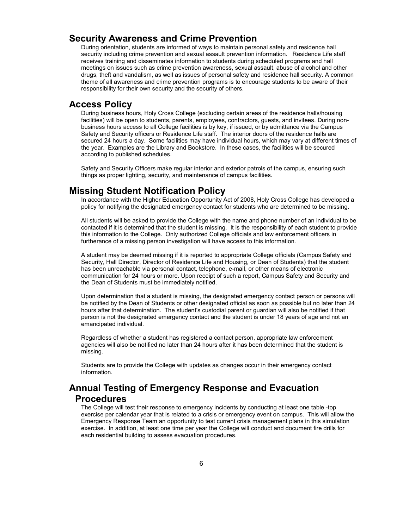### Security Awareness and Crime Prevention

During orientation, students are informed of ways to maintain personal safety and residence hall security including crime prevention and sexual assault prevention information. Residence Life staff receives training and disseminates information to students during scheduled programs and hall meetings on issues such as crime prevention awareness, sexual assault, abuse of alcohol and other drugs, theft and vandalism, as well as issues of personal safety and residence hall security. A common theme of all awareness and crime prevention programs is to encourage students to be aware of their responsibility for their own security and the security of others.

### Access Policy

During business hours, Holy Cross College (excluding certain areas of the residence halls/housing facilities) will be open to students, parents, employees, contractors, guests, and invitees. During nonbusiness hours access to all College facilities is by key, if issued, or by admittance via the Campus Safety and Security officers or Residence Life staff. The interior doors of the residence halls are secured 24 hours a day. Some facilities may have individual hours, which may vary at different times of the year. Examples are the Library and Bookstore. In these cases, the facilities will be secured according to published schedules.

Safety and Security Officers make regular interior and exterior patrols of the campus, ensuring such things as proper lighting, security, and maintenance of campus facilities.

### Missing Student Notification Policy

In accordance with the Higher Education Opportunity Act of 2008, Holy Cross College has developed a policy for notifying the designated emergency contact for students who are determined to be missing.

All students will be asked to provide the College with the name and phone number of an individual to be contacted if it is determined that the student is missing. It is the responsibility of each student to provide this information to the College. Only authorized College officials and law enforcement officers in furtherance of a missing person investigation will have access to this information.

A student may be deemed missing if it is reported to appropriate College officials (Campus Safety and Security, Hall Director, Director of Residence Life and Housing, or Dean of Students) that the student has been unreachable via personal contact, telephone, e-mail, or other means of electronic communication for 24 hours or more. Upon receipt of such a report, Campus Safety and Security and the Dean of Students must be immediately notified.

Upon determination that a student is missing, the designated emergency contact person or persons will be notified by the Dean of Students or other designated official as soon as possible but no later than 24 hours after that determination. The student's custodial parent or guardian will also be notified if that person is not the designated emergency contact and the student is under 18 years of age and not an emancipated individual.

Regardless of whether a student has registered a contact person, appropriate law enforcement agencies will also be notified no later than 24 hours after it has been determined that the student is missing.

Students are to provide the College with updates as changes occur in their emergency contact information.

# Annual Testing of Emergency Response and Evacuation Procedures

The College will test their response to emergency incidents by conducting at least one table -top exercise per calendar year that is related to a crisis or emergency event on campus. This will allow the Emergency Response Team an opportunity to test current crisis management plans in this simulation exercise. In addition, at least one time per year the College will conduct and document fire drills for each residential building to assess evacuation procedures.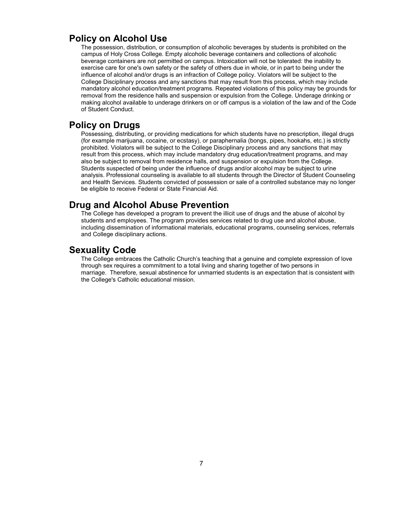### Policy on Alcohol Use

The possession, distribution, or consumption of alcoholic beverages by students is prohibited on the campus of Holy Cross College. Empty alcoholic beverage containers and collections of alcoholic beverage containers are not permitted on campus. Intoxication will not be tolerated: the inability to exercise care for one's own safety or the safety of others due in whole, or in part to being under the influence of alcohol and/or drugs is an infraction of College policy. Violators will be subject to the College Disciplinary process and any sanctions that may result from this process, which may include mandatory alcohol education/treatment programs. Repeated violations of this policy may be grounds for removal from the residence halls and suspension or expulsion from the College. Underage drinking or making alcohol available to underage drinkers on or off campus is a violation of the law and of the Code of Student Conduct.

### Policy on Drugs

Possessing, distributing, or providing medications for which students have no prescription, illegal drugs (for example marijuana, cocaine, or ecstasy), or paraphernalia (bongs, pipes, hookahs, etc.) is strictly prohibited. Violators will be subject to the College Disciplinary process and any sanctions that may result from this process, which may include mandatory drug education/treatment programs, and may also be subject to removal from residence halls, and suspension or expulsion from the College. Students suspected of being under the influence of drugs and/or alcohol may be subject to urine analysis. Professional counseling is available to all students through the Director of Student Counseling and Health Services. Students convicted of possession or sale of a controlled substance may no longer be eligible to receive Federal or State Financial Aid.

### Drug and Alcohol Abuse Prevention

The College has developed a program to prevent the illicit use of drugs and the abuse of alcohol by students and employees. The program provides services related to drug use and alcohol abuse, including dissemination of informational materials, educational programs, counseling services, referrals and College disciplinary actions.

### Sexuality Code

The College embraces the Catholic Church's teaching that a genuine and complete expression of love through sex requires a commitment to a total living and sharing together of two persons in marriage. Therefore, sexual abstinence for unmarried students is an expectation that is consistent with the College's Catholic educational mission.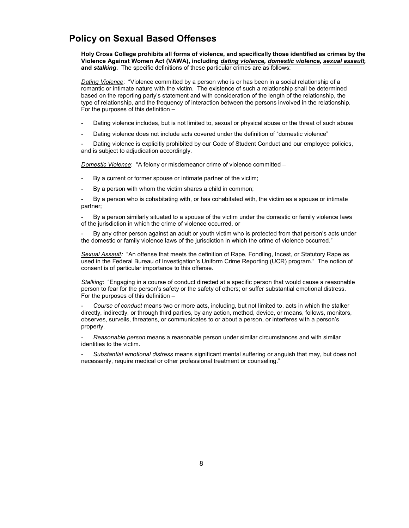# Policy on Sexual Based Offenses

Holy Cross College prohibits all forms of violence, and specifically those identified as crimes by the Violence Against Women Act (VAWA), including dating violence, domestic violence, sexual assault, and stalking. The specific definitions of these particular crimes are as follows:

Dating Violence: "Violence committed by a person who is or has been in a social relationship of a romantic or intimate nature with the victim. The existence of such a relationship shall be determined based on the reporting party's statement and with consideration of the length of the relationship, the type of relationship, and the frequency of interaction between the persons involved in the relationship. For the purposes of this definition –

- Dating violence includes, but is not limited to, sexual or physical abuse or the threat of such abuse
- Dating violence does not include acts covered under the definition of "domestic violence"

Dating violence is explicitly prohibited by our Code of Student Conduct and our employee policies, and is subject to adjudication accordingly.

Domestic Violence: "A felony or misdemeanor crime of violence committed -

- By a current or former spouse or intimate partner of the victim;
- By a person with whom the victim shares a child in common;

By a person who is cohabitating with, or has cohabitated with, the victim as a spouse or intimate partner;

By a person similarly situated to a spouse of the victim under the domestic or family violence laws of the jurisdiction in which the crime of violence occurred, or

By any other person against an adult or youth victim who is protected from that person's acts under the domestic or family violence laws of the jurisdiction in which the crime of violence occurred."

Sexual Assault: "An offense that meets the definition of Rape, Fondling, Incest, or Statutory Rape as used in the Federal Bureau of Investigation's Uniform Crime Reporting (UCR) program." The notion of consent is of particular importance to this offense.

Stalking: "Engaging in a course of conduct directed at a specific person that would cause a reasonable person to fear for the person's safety or the safety of others; or suffer substantial emotional distress. For the purposes of this definition –

Course of conduct means two or more acts, including, but not limited to, acts in which the stalker directly, indirectly, or through third parties, by any action, method, device, or means, follows, monitors, observes, surveils, threatens, or communicates to or about a person, or interferes with a person's property.

Reasonable person means a reasonable person under similar circumstances and with similar identities to the victim.

Substantial emotional distress means significant mental suffering or anguish that may, but does not necessarily, require medical or other professional treatment or counseling."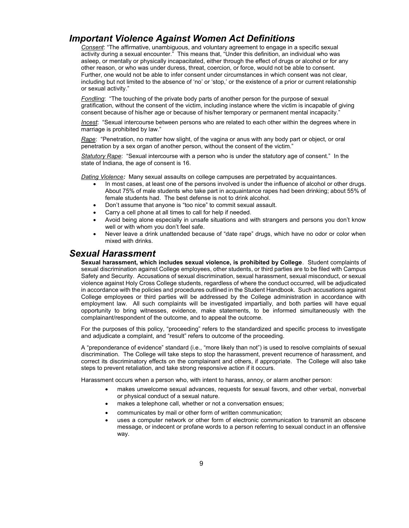# Important Violence Against Women Act Definitions

Consent: "The affirmative, unambiguous, and voluntary agreement to engage in a specific sexual activity during a sexual encounter." This means that, "Under this definition, an individual who was asleep, or mentally or physically incapacitated, either through the effect of drugs or alcohol or for any other reason, or who was under duress, threat, coercion, or force, would not be able to consent. Further, one would not be able to infer consent under circumstances in which consent was not clear, including but not limited to the absence of 'no' or 'stop,' or the existence of a prior or current relationship or sexual activity."

Fondling: "The touching of the private body parts of another person for the purpose of sexual gratification, without the consent of the victim, including instance where the victim is incapable of giving consent because of his/her age or because of his/her temporary or permanent mental incapacity."

Incest: "Sexual intercourse between persons who are related to each other within the degrees where in marriage is prohibited by law."

Rape: "Penetration, no matter how slight, of the vagina or anus with any body part or object, or oral penetration by a sex organ of another person, without the consent of the victim.'

Statutory Rape: "Sexual intercourse with a person who is under the statutory age of consent." In the state of Indiana, the age of consent is 16.

Dating Violence: Many sexual assaults on college campuses are perpetrated by acquaintances.

- In most cases, at least one of the persons involved is under the influence of alcohol or other drugs. About 75% of male students who take part in acquaintance rapes had been drinking; about 55% of female students had. The best defense is not to drink alcohol.
- Don't assume that anyone is "too nice" to commit sexual assault.
- Carry a cell phone at all times to call for help if needed.
- Avoid being alone especially in unsafe situations and with strangers and persons you don't know well or with whom you don't feel safe.
- Never leave a drink unattended because of "date rape" drugs, which have no odor or color when mixed with drinks.

### Sexual Harassment

Sexual harassment, which includes sexual violence, is prohibited by College. Student complaints of sexual discrimination against College employees, other students, or third parties are to be filed with Campus Safety and Security. Accusations of sexual discrimination, sexual harassment, sexual misconduct, or sexual violence against Holy Cross College students, regardless of where the conduct occurred, will be adjudicated in accordance with the policies and procedures outlined in the Student Handbook. Such accusations against College employees or third parties will be addressed by the College administration in accordance with employment law. All such complaints will be investigated impartially, and both parties will have equal opportunity to bring witnesses, evidence, make statements, to be informed simultaneously with the complainant/respondent of the outcome, and to appeal the outcome.

For the purposes of this policy, "proceeding" refers to the standardized and specific process to investigate and adjudicate a complaint, and "result" refers to outcome of the proceeding.

A "preponderance of evidence" standard (i.e., "more likely than not") is used to resolve complaints of sexual discrimination. The College will take steps to stop the harassment, prevent recurrence of harassment, and correct its discriminatory effects on the complainant and others, if appropriate. The College will also take steps to prevent retaliation, and take strong responsive action if it occurs.

Harassment occurs when a person who, with intent to harass, annoy, or alarm another person:

- makes unwelcome sexual advances, requests for sexual favors, and other verbal, nonverbal or physical conduct of a sexual nature.
- makes a telephone call, whether or not a conversation ensues;
- communicates by mail or other form of written communication;
- uses a computer network or other form of electronic communication to transmit an obscene message, or indecent or profane words to a person referring to sexual conduct in an offensive way.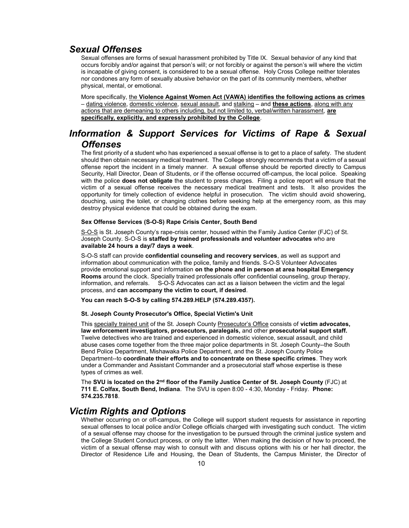### Sexual Offenses

Sexual offenses are forms of sexual harassment prohibited by Title IX. Sexual behavior of any kind that occurs forcibly and/or against that person's will; or not forcibly or against the person's will where the victim is incapable of giving consent, is considered to be a sexual offense. Holy Cross College neither tolerates nor condones any form of sexually abusive behavior on the part of its community members, whether physical, mental, or emotional.

More specifically, the Violence Against Women Act (VAWA) identifies the following actions as crimes – dating violence, domestic violence, sexual assault, and stalking – and these actions, along with any actions that are demeaning to others including, but not limited to, verbal/written harassment, are specifically, explicitly, and expressly prohibited by the College.

# Information & Support Services for Victims of Rape & Sexual **Offenses**

The first priority of a student who has experienced a sexual offense is to get to a place of safety. The student should then obtain necessary medical treatment. The College strongly recommends that a victim of a sexual offense report the incident in a timely manner. A sexual offense should be reported directly to Campus Security, Hall Director, Dean of Students, or if the offense occurred off-campus, the local police. Speaking with the police **does not obligate** the student to press charges. Filing a police report will ensure that the victim of a sexual offense receives the necessary medical treatment and tests. It also provides the opportunity for timely collection of evidence helpful in prosecution. The victim should avoid showering, douching, using the toilet, or changing clothes before seeking help at the emergency room, as this may destroy physical evidence that could be obtained during the exam.

#### Sex Offense Services (S-O-S) Rape Crisis Center, South Bend

S-O-S is St. Joseph County's rape-crisis center, housed within the Family Justice Center (FJC) of St. Joseph County. S-O-S is staffed by trained professionals and volunteer advocates who are available 24 hours a day/7 days a week.

S-O-S staff can provide confidential counseling and recovery services, as well as support and information about communication with the police, family and friends. S-O-S Volunteer Advocates provide emotional support and information on the phone and in person at area hospital Emergency Rooms around the clock. Specially trained professionals offer confidential counseling, group therapy, information, and referrals. S-O-S Advocates can act as a liaison between the victim and the legal process, and can accompany the victim to court, if desired.

You can reach S-O-S by calling 574.289.HELP (574.289.4357).

#### St. Joseph County Prosecutor's Office, Special Victim's Unit

This specially trained unit of the St. Joseph County Prosecutor's Office consists of victim advocates, law enforcement investigators, prosecutors, paralegals, and other prosecutorial support staff. Twelve detectives who are trained and experienced in domestic violence, sexual assault, and child abuse cases come together from the three major police departments in St. Joseph County--the South Bend Police Department, Mishawaka Police Department, and the St. Joseph County Police Department--to coordinate their efforts and to concentrate on these specific crimes. They work under a Commander and Assistant Commander and a prosecutorial staff whose expertise is these types of crimes as well.

The SVU is located on the 2<sup>nd</sup> floor of the Family Justice Center of St. Joseph County (FJC) at 711 E. Colfax, South Bend, Indiana. The SVU is open 8:00 - 4:30, Monday - Friday. Phone: 574.235.7818.

### Victim Rights and Options

Whether occurring on or off-campus, the College will support student requests for assistance in reporting sexual offenses to local police and/or College officials charged with investigating such conduct. The victim of a sexual offense may choose for the investigation to be pursued through the criminal justice system and the College Student Conduct process, or only the latter. When making the decision of how to proceed, the victim of a sexual offense may wish to consult with and discuss options with his or her hall director, the Director of Residence Life and Housing, the Dean of Students, the Campus Minister, the Director of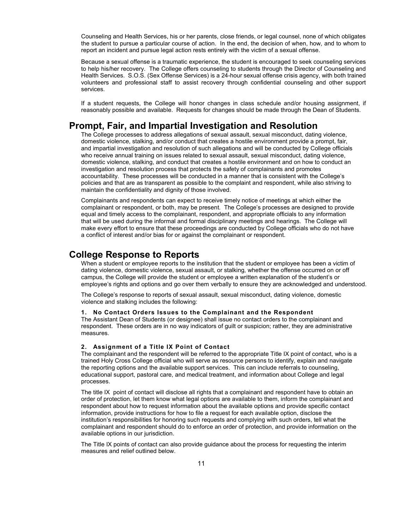Counseling and Health Services, his or her parents, close friends, or legal counsel, none of which obligates the student to pursue a particular course of action. In the end, the decision of when, how, and to whom to report an incident and pursue legal action rests entirely with the victim of a sexual offense.

Because a sexual offense is a traumatic experience, the student is encouraged to seek counseling services to help his/her recovery. The College offers counseling to students through the Director of Counseling and Health Services. S.O.S. (Sex Offense Services) is a 24-hour sexual offense crisis agency, with both trained volunteers and professional staff to assist recovery through confidential counseling and other support services.

If a student requests, the College will honor changes in class schedule and/or housing assignment, if reasonably possible and available. Requests for changes should be made through the Dean of Students.

### Prompt, Fair, and Impartial Investigation and Resolution

The College processes to address allegations of sexual assault, sexual misconduct, dating violence, domestic violence, stalking, and/or conduct that creates a hostile environment provide a prompt, fair, and impartial investigation and resolution of such allegations and will be conducted by College officials who receive annual training on issues related to sexual assault, sexual misconduct, dating violence, domestic violence, stalking, and conduct that creates a hostile environment and on how to conduct an investigation and resolution process that protects the safety of complainants and promotes accountability. These processes will be conducted in a manner that is consistent with the College's policies and that are as transparent as possible to the complaint and respondent, while also striving to maintain the confidentiality and dignity of those involved.

Complainants and respondents can expect to receive timely notice of meetings at which either the complainant or respondent, or both, may be present. The College's processes are designed to provide equal and timely access to the complainant, respondent, and appropriate officials to any information that will be used during the informal and formal disciplinary meetings and hearings. The College will make every effort to ensure that these proceedings are conducted by College officials who do not have a conflict of interest and/or bias for or against the complainant or respondent.

#### College Response to Reports

When a student or employee reports to the institution that the student or employee has been a victim of dating violence, domestic violence, sexual assault, or stalking, whether the offense occurred on or off campus, the College will provide the student or employee a written explanation of the student's or employee's rights and options and go over them verbally to ensure they are acknowledged and understood.

The College's response to reports of sexual assault, sexual misconduct, dating violence, domestic violence and stalking includes the following:

#### 1. No Contact Orders Issues to the Complainant and the Respondent

The Assistant Dean of Students (or designee) shall issue no contact orders to the complainant and respondent. These orders are in no way indicators of guilt or suspicion; rather, they are administrative measures.

#### 2. Assignment of a Title IX Point of Contact

The complainant and the respondent will be referred to the appropriate Title IX point of contact, who is a trained Holy Cross College official who will serve as resource persons to identify, explain and navigate the reporting options and the available support services. This can include referrals to counseling, educational support, pastoral care, and medical treatment, and information about College and legal processes.

The title IX point of contact will disclose all rights that a complainant and respondent have to obtain an order of protection, let them know what legal options are available to them, inform the complainant and respondent about how to request information about the available options and provide specific contact information, provide instructions for how to file a request for each available option, disclose the institution's responsibilities for honoring such requests and complying with such orders, tell what the complainant and respondent should do to enforce an order of protection, and provide information on the available options in our jurisdiction.

The Title IX points of contact can also provide guidance about the process for requesting the interim measures and relief outlined below.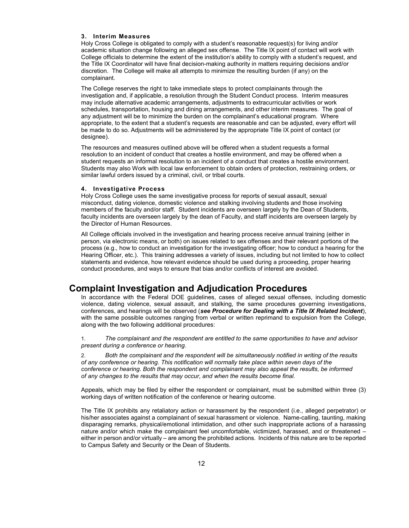#### 3. Interim Measures

Holy Cross College is obligated to comply with a student's reasonable request(s) for living and/or academic situation change following an alleged sex offense. The Title IX point of contact will work with College officials to determine the extent of the institution's ability to comply with a student's request, and the Title IX Coordinator will have final decision-making authority in matters requiring decisions and/or discretion. The College will make all attempts to minimize the resulting burden (if any) on the complainant.

The College reserves the right to take immediate steps to protect complainants through the investigation and, if applicable, a resolution through the Student Conduct process. Interim measures may include alternative academic arrangements, adjustments to extracurricular activities or work schedules, transportation, housing and dining arrangements, and other interim measures. The goal of any adjustment will be to minimize the burden on the complainant's educational program. Where appropriate, to the extent that a student's requests are reasonable and can be adjusted, every effort will be made to do so. Adjustments will be administered by the appropriate Title IX point of contact (or designee).

The resources and measures outlined above will be offered when a student requests a formal resolution to an incident of conduct that creates a hostile environment, and may be offered when a student requests an informal resolution to an incident of a conduct that creates a hostile environment. Students may also Work with local law enforcement to obtain orders of protection, restraining orders, or similar lawful orders issued by a criminal, civil, or tribal courts.

#### 4. Investigative Process

Holy Cross College uses the same investigative process for reports of sexual assault, sexual misconduct, dating violence, domestic violence and stalking involving students and those involving members of the faculty and/or staff. Student incidents are overseen largely by the Dean of Students, faculty incidents are overseen largely by the dean of Faculty, and staff incidents are overseen largely by the Director of Human Resources.

All College officials involved in the investigation and hearing process receive annual training (either in person, via electronic means, or both) on issues related to sex offenses and their relevant portions of the process (e.g., how to conduct an investigation for the investigating officer; how to conduct a hearing for the Hearing Officer, etc.). This training addresses a variety of issues, including but not limited to how to collect statements and evidence, how relevant evidence should be used during a proceeding, proper hearing conduct procedures, and ways to ensure that bias and/or conflicts of interest are avoided.

### Complaint Investigation and Adjudication Procedures

In accordance with the Federal DOE guidelines, cases of alleged sexual offenses, including domestic violence, dating violence, sexual assault, and stalking, the same procedures governing investigations, conferences, and hearings will be observed (see Procedure for Dealing with a Title IX Related Incident), with the same possible outcomes ranging from verbal or written reprimand to expulsion from the College, along with the two following additional procedures:

1. The complainant and the respondent are entitled to the same opportunities to have and advisor present during a conference or hearing.

Both the complainant and the respondent will be simultaneously notified in writing of the results of any conference or hearing. This notification will normally take place within seven days of the conference or hearing. Both the respondent and complainant may also appeal the results, be informed of any changes to the results that may occur, and when the results become final.

Appeals, which may be filed by either the respondent or complainant, must be submitted within three (3) working days of written notification of the conference or hearing outcome.

The Title IX prohibits any retaliatory action or harassment by the respondent (i.e., alleged perpetrator) or his/her associates against a complainant of sexual harassment or violence. Name-calling, taunting, making disparaging remarks, physical/emotional intimidation, and other such inappropriate actions of a harassing nature and/or which make the complainant feel uncomfortable, victimized, harassed, and or threatened – either in person and/or virtually – are among the prohibited actions. Incidents of this nature are to be reported to Campus Safety and Security or the Dean of Students.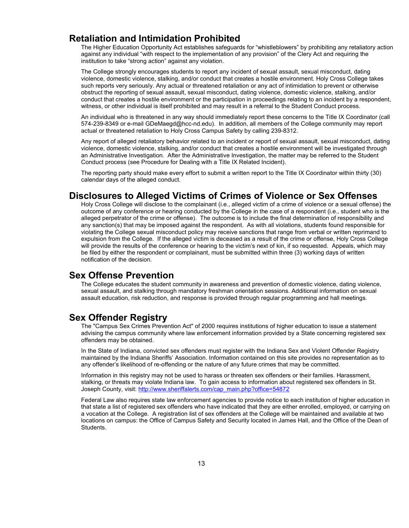# Retaliation and Intimidation Prohibited

The Higher Education Opportunity Act establishes safeguards for "whistleblowers" by prohibiting any retaliatory action against any individual "with respect to the implementation of any provision" of the Clery Act and requiring the institution to take "strong action" against any violation.

The College strongly encourages students to report any incident of sexual assault, sexual misconduct, dating violence, domestic violence, stalking, and/or conduct that creates a hostile environment. Holy Cross College takes such reports very seriously. Any actual or threatened retaliation or any act of intimidation to prevent or otherwise obstruct the reporting of sexual assault, sexual misconduct, dating violence, domestic violence, stalking, and/or conduct that creates a hostile environment or the participation in proceedings relating to an incident by a respondent, witness, or other individual is itself prohibited and may result in a referral to the Student Conduct process.

An individual who is threatened in any way should immediately report these concerns to the Title IX Coordinator (call 574-239-8349 or e-mail GDeMaegd@hcc-nd.edu). In addition, all members of the College community may report actual or threatened retaliation to Holy Cross Campus Safety by calling 239-8312.

Any report of alleged retaliatory behavior related to an incident or report of sexual assault, sexual misconduct, dating violence, domestic violence, stalking, and/or conduct that creates a hostile environment will be investigated through an Administrative Investigation. After the Administrative Investigation, the matter may be referred to the Student Conduct process (see Procedure for Dealing with a Title IX Related Incident).

The reporting party should make every effort to submit a written report to the Title IX Coordinator within thirty (30) calendar days of the alleged conduct.

### Disclosures to Alleged Victims of Crimes of Violence or Sex Offenses

Holy Cross College will disclose to the complainant (i.e., alleged victim of a crime of violence or a sexual offense) the outcome of any conference or hearing conducted by the College in the case of a respondent (i.e., student who is the alleged perpetrator of the crime or offense). The outcome is to include the final determination of responsibility and any sanction(s) that may be imposed against the respondent. As with all violations, students found responsible for violating the College sexual misconduct policy may receive sanctions that range from verbal or written reprimand to expulsion from the College. If the alleged victim is deceased as a result of the crime or offense, Holy Cross College will provide the results of the conference or hearing to the victim's next of kin, if so requested. Appeals, which may be filed by either the respondent or complainant, must be submitted within three (3) working days of written notification of the decision.

### Sex Offense Prevention

The College educates the student community in awareness and prevention of domestic violence, dating violence, sexual assault, and stalking through mandatory freshman orientation sessions. Additional information on sexual assault education, risk reduction, and response is provided through regular programming and hall meetings.

### Sex Offender Registry

The "Campus Sex Crimes Prevention Act" of 2000 requires institutions of higher education to issue a statement advising the campus community where law enforcement information provided by a State concerning registered sex offenders may be obtained.

In the State of Indiana, convicted sex offenders must register with the Indiana Sex and Violent Offender Registry maintained by the Indiana Sheriffs' Association. Information contained on this site provides no representation as to any offender's likelihood of re-offending or the nature of any future crimes that may be committed.

Information in this registry may not be used to harass or threaten sex offenders or their families. Harassment, stalking, or threats may violate Indiana law. To gain access to information about registered sex offenders in St. Joseph County, visit: http://www.sheriffalerts.com/cap\_main.php?office=54872

Federal Law also requires state law enforcement agencies to provide notice to each institution of higher education in that state a list of registered sex offenders who have indicated that they are either enrolled, employed, or carrying on a vocation at the College. A registration list of sex offenders at the College will be maintained and available at two locations on campus: the Office of Campus Safety and Security located in James Hall, and the Office of the Dean of Students.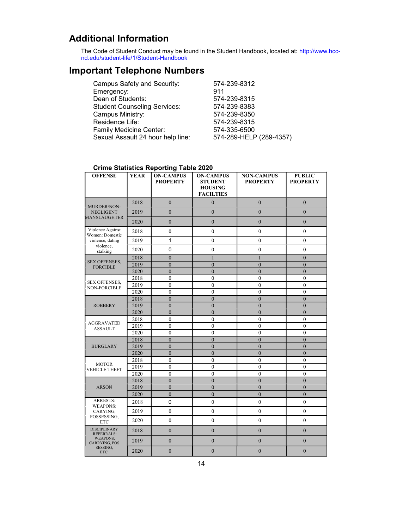# Additional Information

The Code of Student Conduct may be found in the Student Handbook, located at: <u>http://www.hcc-</u> nd.edu/student-life/1/Student-Handbook

# Important Telephone Numbers

| 574-239-8312            |
|-------------------------|
| 911                     |
| 574-239-8315            |
| 574-239-8383            |
| 574-239-8350            |
| 574-239-8315            |
| 574-335-6500            |
| 574-289-HELP (289-4357) |
|                         |

#### Crime Statistics Reporting Table 2020

| <b>OFFENSE</b>                                                                                          | <b>YEAR</b> | <b>ON-CAMPUS</b><br><b>PROPERTY</b> | <b>ON-CAMPUS</b><br><b>STUDENT</b><br><b>HOUSING</b><br><b>FACILTIES</b> | <b>NON-CAMPUS</b><br><b>PROPERTY</b> | <b>PUBLIC</b><br><b>PROPERTY</b> |
|---------------------------------------------------------------------------------------------------------|-------------|-------------------------------------|--------------------------------------------------------------------------|--------------------------------------|----------------------------------|
| MURDER/NON-<br><b>NEGLIGENT</b><br><b>MANSLAUGHTER</b>                                                  | 2018        | $\overline{0}$                      | $\overline{0}$                                                           | $\theta$                             | $\theta$                         |
|                                                                                                         | 2019        | $\theta$                            | $\theta$                                                                 | $\overline{0}$                       | $\overline{0}$                   |
|                                                                                                         | 2020        | $\overline{0}$                      | $\mathbf{0}$                                                             | $\overline{0}$                       | $\mathbf{0}$                     |
| Violence Against<br>Women: Domestic<br>violence, dating<br>violence,<br>stalking                        | 2018        | $\overline{0}$                      | $\mathbf{0}$                                                             | $\mathbf{0}$                         | $\mathbf{0}$                     |
|                                                                                                         | 2019        | 1                                   | $\mathbf{0}$                                                             | $\boldsymbol{0}$                     | $\boldsymbol{0}$                 |
|                                                                                                         | 2020        | 0                                   | $\mathbf{0}$                                                             | $\overline{0}$                       | $\overline{0}$                   |
| <b>SEX OFFENSES,</b>                                                                                    | 2018        | $\overline{0}$                      | $\mathbf{1}$                                                             | $\overline{1}$                       | $\overline{0}$                   |
| <b>FORCIBLE</b>                                                                                         | 2019        | $\boldsymbol{0}$                    | $\mathbf{0}$                                                             | $\overline{0}$                       | $\overline{0}$                   |
|                                                                                                         | 2020        | $\overline{0}$                      | $\theta$                                                                 | $\overline{0}$                       | $\overline{0}$                   |
| <b>SEX OFFENSES,</b>                                                                                    | 2018        | $\overline{0}$                      | $\mathbf{0}$                                                             | $\mathbf{0}$                         | $\mathbf{0}$                     |
| <b>NON-FORCIBLE</b>                                                                                     | 2019        | $\mathbf{0}$                        | $\mathbf{0}$                                                             | $\mathbf{0}$                         | $\overline{0}$                   |
|                                                                                                         | 2020        | $\mathbf{0}$                        | $\mathbf{0}$                                                             | $\mathbf{0}$                         | $\mathbf{0}$                     |
|                                                                                                         | 2018        | $\overline{0}$                      | $\theta$                                                                 | $\overline{0}$                       | $\mathbf{0}$                     |
| <b>ROBBERY</b>                                                                                          | 2019        | $\overline{0}$                      | $\mathbf{0}$                                                             | $\mathbf{0}$                         | $\mathbf{0}$                     |
|                                                                                                         | 2020        | $\overline{0}$                      | $\theta$                                                                 | $\theta$                             | $\theta$                         |
|                                                                                                         | 2018        | $\theta$                            | $\theta$                                                                 | $\theta$                             | $\theta$                         |
| <b>AGGRAVATED</b><br><b>ASSAULT</b>                                                                     | 2019        | $\overline{0}$                      | $\theta$                                                                 | $\overline{0}$                       | $\overline{0}$                   |
|                                                                                                         | 2020        | $\mathbf{0}$                        | $\mathbf{0}$                                                             | $\mathbf{0}$                         | $\mathbf{0}$                     |
| <b>BURGLARY</b>                                                                                         | 2018        | $\overline{0}$                      | $\overline{0}$                                                           | $\overline{0}$                       | $\overline{0}$                   |
|                                                                                                         | 2019        | $\overline{0}$                      | $\overline{0}$                                                           | $\overline{0}$                       | $\overline{0}$                   |
|                                                                                                         | 2020        | $\overline{0}$                      | $\overline{0}$                                                           | $\overline{0}$                       | $\overline{0}$                   |
| <b>MOTOR</b><br><b>VEHICLE THEFT</b>                                                                    | 2018        | $\overline{0}$                      | $\mathbf{0}$                                                             | $\mathbf{0}$                         | $\boldsymbol{0}$                 |
|                                                                                                         | 2019        | $\overline{0}$                      | $\mathbf{0}$                                                             | $\overline{0}$                       | $\mathbf{0}$                     |
|                                                                                                         | 2020        | $\mathbf{0}$                        | $\mathbf{0}$                                                             | $\mathbf{0}$                         | $\mathbf{0}$                     |
| <b>ARSON</b>                                                                                            | 2018        | $\overline{0}$                      | $\overline{0}$                                                           | $\overline{0}$                       | $\overline{0}$                   |
|                                                                                                         | 2019        | $\theta$                            | $\theta$                                                                 | $\overline{0}$                       | $\overline{0}$                   |
|                                                                                                         | 2020        | $\boldsymbol{0}$                    | $\overline{0}$                                                           | $\boldsymbol{0}$                     | $\boldsymbol{0}$                 |
| <b>ARRESTS:</b>                                                                                         | 2018        | $\mathbf 0$                         | $\mathbf{0}$                                                             | $\mathbf{0}$                         | $\mathbf{0}$                     |
| <b>WEAPONS:</b><br>CARYING,<br>POSSESSING,<br><b>ETC</b>                                                | 2019        | $\overline{0}$                      | $\mathbf{0}$                                                             | $\mathbf{0}$                         | $\mathbf{0}$                     |
|                                                                                                         | 2020        | $\boldsymbol{0}$                    | $\mathbf{0}$                                                             | $\mathbf{0}$                         | $\boldsymbol{0}$                 |
| <b>DISCIPLINARY</b><br><b>REFERRALS:</b><br><b>WEAPONS:</b><br><b>CARRYING, POS</b><br>SESSING,<br>ETC. | 2018        | $\boldsymbol{0}$                    | $\boldsymbol{0}$                                                         | $\boldsymbol{0}$                     | $\boldsymbol{0}$                 |
|                                                                                                         | 2019        | $\overline{0}$                      | $\overline{0}$                                                           | $\overline{0}$                       | $\mathbf{0}$                     |
|                                                                                                         | 2020        | $\overline{0}$                      | $\overline{0}$                                                           | $\overline{0}$                       | $\overline{0}$                   |